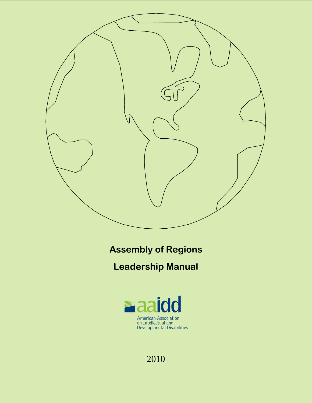

**Assembly of Regions**

**Leadership Manual**



# 2010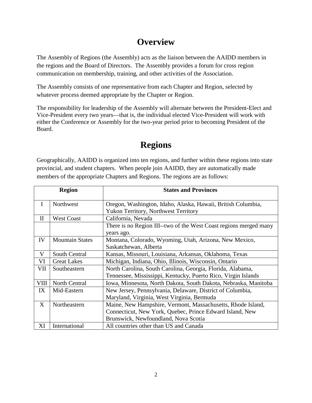# **Overview**

The Assembly of Regions (the Assembly) acts as the liaison between the AAIDD members in the regions and the Board of Directors. The Assembly provides a forum for cross region communication on membership, training, and other activities of the Association.

The Assembly consists of one representative from each Chapter and Region, selected by whatever process deemed appropriate by the Chapter or Region.

The responsibility for leadership of the Assembly will alternate between the President-Elect and Vice-President every two years—that is, the individual elected Vice-President will work with either the Conference or Assembly for the two-year period prior to becoming President of the Board.

# **Regions**

Geographically, AAIDD is organized into ten regions, and further within these regions into state provincial, and student chapters. When people join AAIDD, they are automatically made members of the appropriate Chapters and Regions. The regions are as follows:

| <b>Region</b> |                        | <b>States and Provinces</b>                                       |
|---------------|------------------------|-------------------------------------------------------------------|
| I             | Northwest              | Oregon, Washington, Idaho, Alaska, Hawaii, British Columbia,      |
|               |                        | <b>Yukon Territory, Northwest Territory</b>                       |
| $\mathbf{I}$  | <b>West Coast</b>      | California, Nevada                                                |
|               |                        | There is no Region III--two of the West Coast regions merged many |
|               |                        | years ago.                                                        |
| IV            | <b>Mountain States</b> | Montana, Colorado, Wyoming, Utah, Arizona, New Mexico,            |
|               |                        | Saskatchewan, Alberta                                             |
| V             | South Central          | Kansas, Missouri, Louisiana, Arkansas, Oklahoma, Texas            |
| VI            | <b>Great Lakes</b>     | Michigan, Indiana, Ohio, Illinois, Wisconsin, Ontario             |
| VII           | Southeastern           | North Carolina, South Carolina, Georgia, Florida, Alabama,        |
|               |                        | Tennessee, Mississippi, Kentucky, Puerto Rico, Virgin Islands     |
| VIII          | North Central          | Iowa, Minnesota, North Dakota, South Dakota, Nebraska, Manitoba   |
| IX            | Mid-Eastern            | New Jersey, Pennsylvania, Delaware, District of Columbia,         |
|               |                        | Maryland, Virginia, West Virginia, Bermuda                        |
| X             | Northeastern           | Maine, New Hampshire, Vermont, Massachusetts, Rhode Island,       |
|               |                        | Connecticut, New York, Quebec, Prince Edward Island, New          |
|               |                        | Brunswick, Newfoundland, Nova Scotia                              |
| XI            | International          | All countries other than US and Canada                            |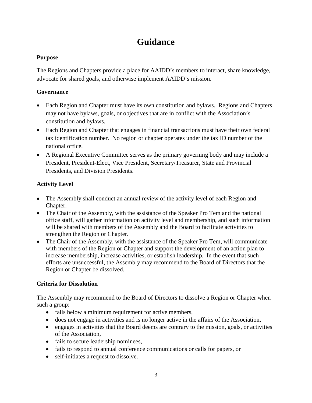# **Guidance**

#### **Purpose**

The Regions and Chapters provide a place for AAIDD's members to interact, share knowledge, advocate for shared goals, and otherwise implement AAIDD's mission.

### **Governance**

- Each Region and Chapter must have its own constitution and bylaws. Regions and Chapters may not have bylaws, goals, or objectives that are in conflict with the Association's constitution and bylaws.
- Each Region and Chapter that engages in financial transactions must have their own federal tax identification number. No region or chapter operates under the tax ID number of the national office.
- A Regional Executive Committee serves as the primary governing body and may include a President, President-Elect, Vice President, Secretary/Treasurer, State and Provincial Presidents, and Division Presidents.

### **Activity Level**

- The Assembly shall conduct an annual review of the activity level of each Region and Chapter.
- The Chair of the Assembly, with the assistance of the Speaker Pro Tem and the national office staff, will gather information on activity level and membership, and such information will be shared with members of the Assembly and the Board to facilitate activities to strengthen the Region or Chapter.
- The Chair of the Assembly, with the assistance of the Speaker Pro Tem, will communicate with members of the Region or Chapter and support the development of an action plan to increase membership, increase activities, or establish leadership. In the event that such efforts are unsuccessful, the Assembly may recommend to the Board of Directors that the Region or Chapter be dissolved.

### **Criteria for Dissolution**

The Assembly may recommend to the Board of Directors to dissolve a Region or Chapter when such a group:

- falls below a minimum requirement for active members,
- does not engage in activities and is no longer active in the affairs of the Association,
- engages in activities that the Board deems are contrary to the mission, goals, or activities of the Association,
- fails to secure leadership nominees,
- fails to respond to annual conference communications or calls for papers, or
- self-initiates a request to dissolve.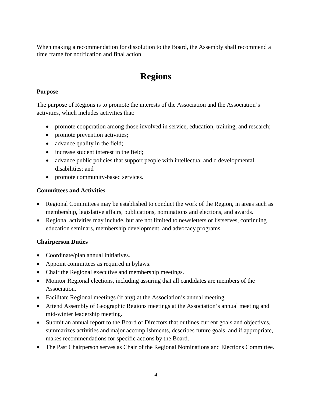When making a recommendation for dissolution to the Board, the Assembly shall recommend a time frame for notification and final action.

# **Regions**

#### **Purpose**

The purpose of Regions is to promote the interests of the Association and the Association's activities, which includes activities that:

- promote cooperation among those involved in service, education, training, and research;
- promote prevention activities;
- advance quality in the field;
- increase student interest in the field;
- advance public policies that support people with intellectual and d developmental disabilities; and
- promote community-based services.

#### **Committees and Activities**

- Regional Committees may be established to conduct the work of the Region, in areas such as membership, legislative affairs, publications, nominations and elections, and awards.
- Regional activities may include, but are not limited to newsletters or listserves, continuing education seminars, membership development, and advocacy programs.

### **Chairperson Duties**

- Coordinate/plan annual initiatives.
- Appoint committees as required in bylaws.
- Chair the Regional executive and membership meetings.
- Monitor Regional elections, including assuring that all candidates are members of the Association.
- Facilitate Regional meetings (if any) at the Association's annual meeting.
- Attend Assembly of Geographic Regions meetings at the Association's annual meeting and mid-winter leadership meeting.
- Submit an annual report to the Board of Directors that outlines current goals and objectives, summarizes activities and major accomplishments, describes future goals, and if appropriate, makes recommendations for specific actions by the Board.
- The Past Chairperson serves as Chair of the Regional Nominations and Elections Committee.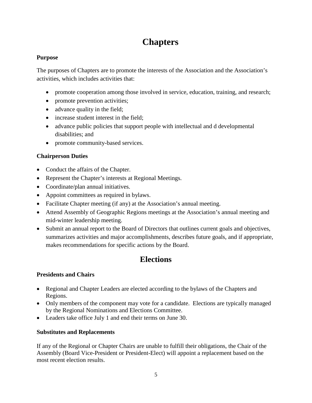# **Chapters**

#### **Purpose**

The purposes of Chapters are to promote the interests of the Association and the Association's activities, which includes activities that:

- promote cooperation among those involved in service, education, training, and research;
- promote prevention activities;
- advance quality in the field;
- increase student interest in the field;
- advance public policies that support people with intellectual and d developmental disabilities; and
- promote community-based services.

### **Chairperson Duties**

- Conduct the affairs of the Chapter.
- Represent the Chapter's interests at Regional Meetings.
- Coordinate/plan annual initiatives.
- Appoint committees as required in bylaws.
- Facilitate Chapter meeting (if any) at the Association's annual meeting.
- Attend Assembly of Geographic Regions meetings at the Association's annual meeting and mid-winter leadership meeting.
- Submit an annual report to the Board of Directors that outlines current goals and objectives, summarizes activities and major accomplishments, describes future goals, and if appropriate, makes recommendations for specific actions by the Board.

# **Elections**

## **Presidents and Chairs**

- Regional and Chapter Leaders are elected according to the bylaws of the Chapters and Regions.
- Only members of the component may vote for a candidate. Elections are typically managed by the Regional Nominations and Elections Committee.
- Leaders take office July 1 and end their terms on June 30.

## **Substitutes and Replacements**

If any of the Regional or Chapter Chairs are unable to fulfill their obligations, the Chair of the Assembly (Board Vice-President or President-Elect) will appoint a replacement based on the most recent election results.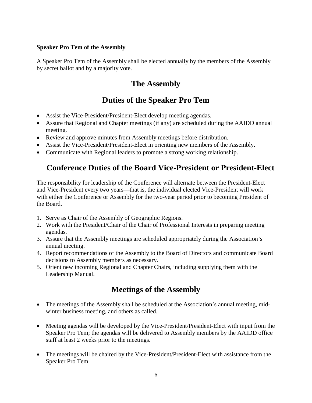#### **Speaker Pro Tem of the Assembly**

A Speaker Pro Tem of the Assembly shall be elected annually by the members of the Assembly by secret ballot and by a majority vote.

## **The Assembly**

# **Duties of the Speaker Pro Tem**

- Assist the Vice-President/President-Elect develop meeting agendas.
- Assure that Regional and Chapter meetings (if any) are scheduled during the AAIDD annual meeting.
- Review and approve minutes from Assembly meetings before distribution.
- Assist the Vice-President/President-Elect in orienting new members of the Assembly.
- Communicate with Regional leaders to promote a strong working relationship.

## **Conference Duties of the Board Vice-President or President-Elect**

The responsibility for leadership of the Conference will alternate between the President-Elect and Vice-President every two years—that is, the individual elected Vice-President will work with either the Conference or Assembly for the two-year period prior to becoming President of the Board.

- 1. Serve as Chair of the Assembly of Geographic Regions.
- 2. Work with the President/Chair of the Chair of Professional Interests in preparing meeting agendas.
- 3. Assure that the Assembly meetings are scheduled appropriately during the Association's annual meeting.
- 4. Report recommendations of the Assembly to the Board of Directors and communicate Board decisions to Assembly members as necessary.
- 5. Orient new incoming Regional and Chapter Chairs, including supplying them with the Leadership Manual.

## **Meetings of the Assembly**

- The meetings of the Assembly shall be scheduled at the Association's annual meeting, midwinter business meeting, and others as called.
- Meeting agendas will be developed by the Vice-President/President-Elect with input from the Speaker Pro Tem; the agendas will be delivered to Assembly members by the AAIDD office staff at least 2 weeks prior to the meetings.
- The meetings will be chaired by the Vice-President/President-Elect with assistance from the Speaker Pro Tem.